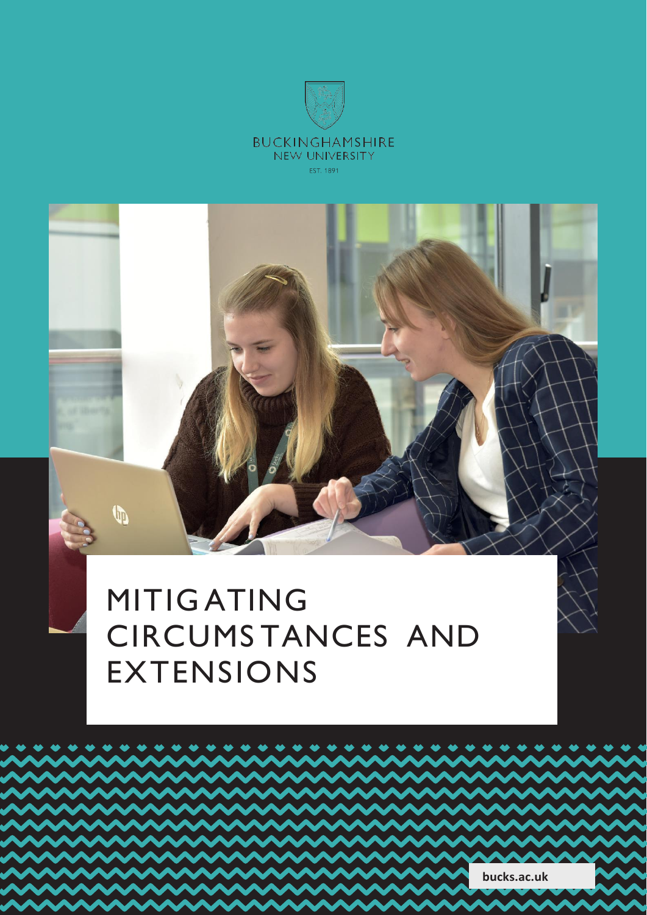



# MITIG ATING CIRCUMS TANCES AND EXTENSIONS

**bucks.ac.uk**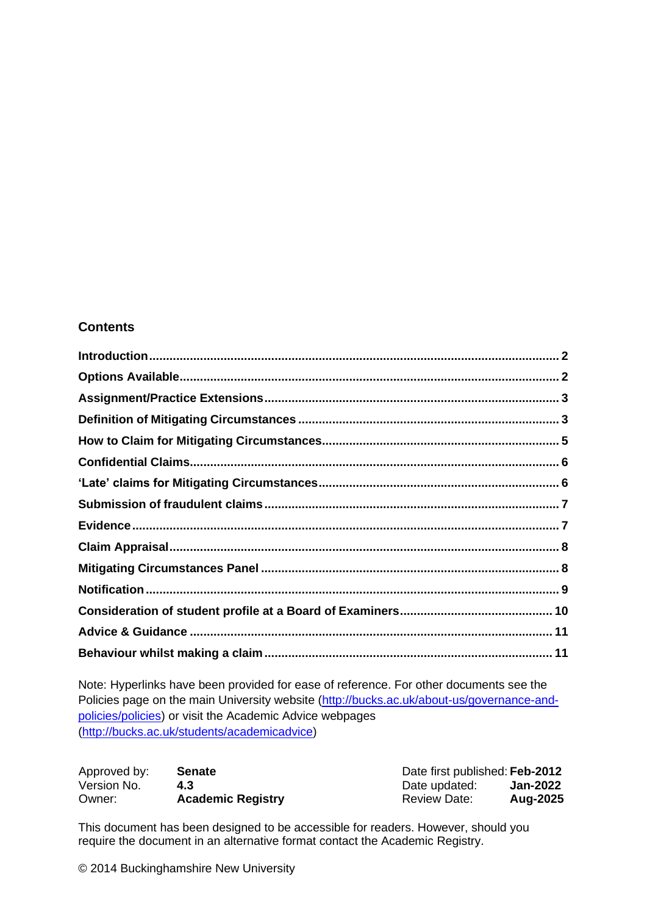#### **Contents**

[Note: Hyperlinks have been provided for eas](http://bucks.ac.uk/students/academicadvice)e of reference. For other documents see the [Policies page on the main University website](http://bucks.ac.uk/students/academicadvice) [\(http://bucks.ac.uk/about-us/governance-and](http://bucks.ac.uk/about-us/governance-and-)policies/policies) or visit the Academic Advice webpages [\(http://bucks.ac.uk/students/academicadvice\)](http://bucks.ac.uk/students/academicadvice))

| Approved by: | <b>Senate</b>            | Date first published: Feb-2012 |          |
|--------------|--------------------------|--------------------------------|----------|
| Version No.  | 4.3                      | Date updated:                  | Jan-2022 |
| Owner:       | <b>Academic Registry</b> | <b>Review Date:</b>            | Aug-2025 |

This document has been designed to be accessible for readers. However, should you require the document in an alternative format contact the Academic Registry.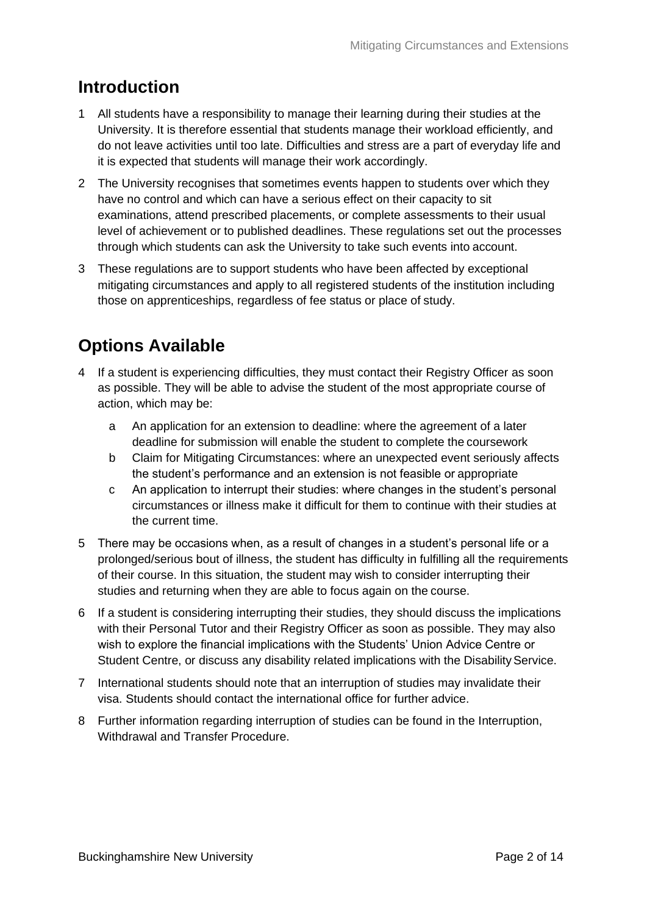### <span id="page-2-0"></span>**Introduction**

- 1 All students have a responsibility to manage their learning during their studies at the University. It is therefore essential that students manage their workload efficiently, and do not leave activities until too late. Difficulties and stress are a part of everyday life and it is expected that students will manage their work accordingly.
- 2 The University recognises that sometimes events happen to students over which they have no control and which can have a serious effect on their capacity to sit examinations, attend prescribed placements, or complete assessments to their usual level of achievement or to published deadlines. These regulations set out the processes through which students can ask the University to take such events into account.
- 3 These regulations are to support students who have been affected by exceptional mitigating circumstances and apply to all registered students of the institution including those on apprenticeships, regardless of fee status or place of study.

## <span id="page-2-1"></span>**Options Available**

- 4 If a student is experiencing difficulties, they must contact their Registry Officer as soon as possible. They will be able to advise the student of the most appropriate course of action, which may be:
	- a An application for an extension to deadline: where the agreement of a later deadline for submission will enable the student to complete the coursework
	- b Claim for Mitigating Circumstances: where an unexpected event seriously affects the student's performance and an extension is not feasible or appropriate
	- c An application to interrupt their studies: where changes in the student's personal circumstances or illness make it difficult for them to continue with their studies at the current time.
- 5 There may be occasions when, as a result of changes in a student's personal life or a prolonged/serious bout of illness, the student has difficulty in fulfilling all the requirements of their course. In this situation, the student may wish to consider interrupting their studies and returning when they are able to focus again on the course.
- 6 If a student is considering interrupting their studies, they should discuss the implications with their Personal Tutor and their Registry Officer as soon as possible. They may also wish to explore the financial implications with the Students' Union Advice Centre or Student Centre, or discuss any disability related implications with the Disability Service.
- 7 International students should note that an interruption of studies may invalidate their visa. Students should contact the international office for further advice.
- 8 Further information regarding interruption of studies can be found in the Interruption, Withdrawal and Transfer Procedure.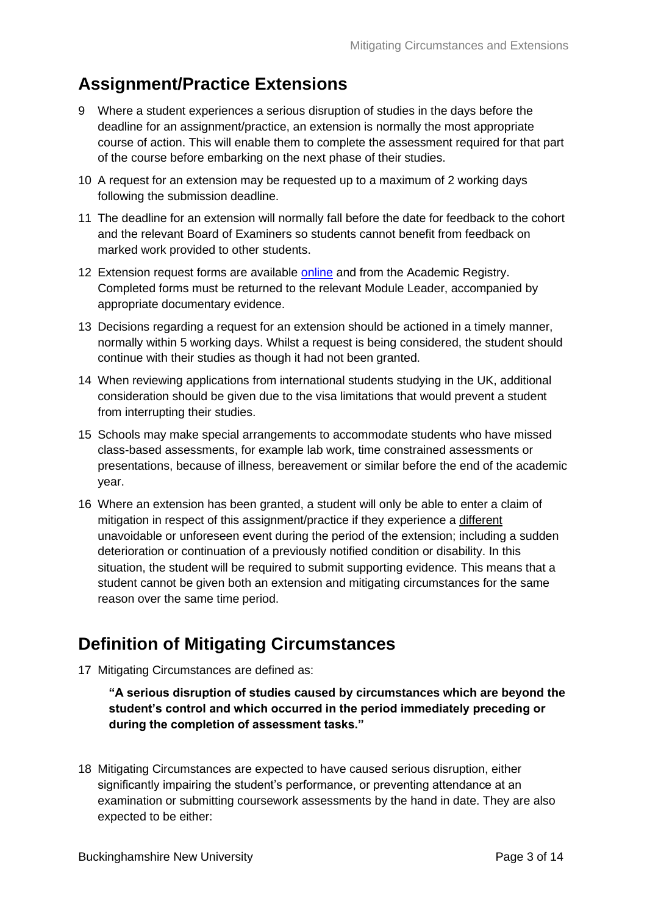#### <span id="page-3-0"></span>**Assignment/Practice Extensions**

- 9 Where a student experiences a serious disruption of studies in the days before the deadline for an assignment/practice, an extension is normally the most appropriate course of action. This will enable them to complete the assessment required for that part of the course before embarking on the next phase of their studies.
- 10 A request for an extension may be requested up to a maximum of 2 working days following the submission deadline.
- 11 The deadline for an extension will normally fall before the date for feedback to the cohort and the relevant Board of Examiners so students cannot benefit from feedback on marked work provided to other students.
- 12 Extension request forms are available [online](https://bucks.ac.uk/students/academicadvice/assessment-and-examination/exceptional-circumstances/deadline-extension) and from the Academic Registry. Completed forms must be returned to the relevant Module Leader, accompanied by appropriate documentary evidence.
- 13 Decisions regarding a request for an extension should be actioned in a timely manner, normally within 5 working days. Whilst a request is being considered, the student should continue with their studies as though it had not been granted.
- 14 When reviewing applications from international students studying in the UK, additional consideration should be given due to the visa limitations that would prevent a student from interrupting their studies.
- 15 Schools may make special arrangements to accommodate students who have missed class-based assessments, for example lab work, time constrained assessments or presentations, because of illness, bereavement or similar before the end of the academic year.
- 16 Where an extension has been granted, a student will only be able to enter a claim of mitigation in respect of this assignment/practice if they experience a different unavoidable or unforeseen event during the period of the extension; including a sudden deterioration or continuation of a previously notified condition or disability. In this situation, the student will be required to submit supporting evidence. This means that a student cannot be given both an extension and mitigating circumstances for the same reason over the same time period.

### <span id="page-3-1"></span>**Definition of Mitigating Circumstances**

17 Mitigating Circumstances are defined as:

```
"A serious disruption of studies caused by circumstances which are beyond the 
student's control and which occurred in the period immediately preceding or 
during the completion of assessment tasks."
```
18 Mitigating Circumstances are expected to have caused serious disruption, either significantly impairing the student's performance, or preventing attendance at an examination or submitting coursework assessments by the hand in date. They are also expected to be either: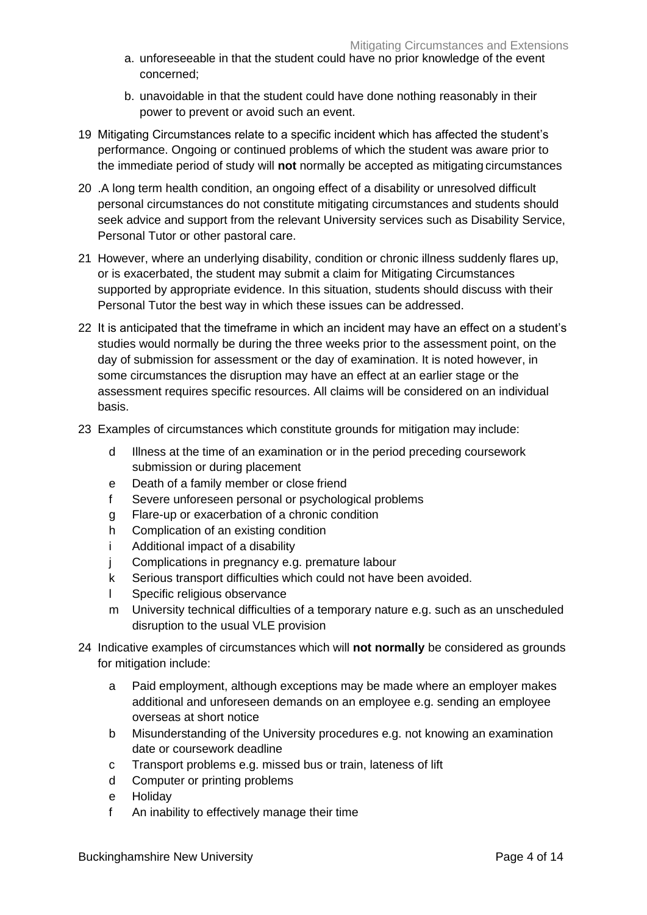- a. unforeseeable in that the student could have no prior knowledge of the event concerned;
- b. unavoidable in that the student could have done nothing reasonably in their power to prevent or avoid such an event.
- 19 Mitigating Circumstances relate to a specific incident which has affected the student's performance. Ongoing or continued problems of which the student was aware prior to the immediate period of study will **not** normally be accepted as mitigating circumstances
- 20 .A long term health condition, an ongoing effect of a disability or unresolved difficult personal circumstances do not constitute mitigating circumstances and students should seek advice and support from the relevant University services such as Disability Service, Personal Tutor or other pastoral care.
- 21 However, where an underlying disability, condition or chronic illness suddenly flares up, or is exacerbated, the student may submit a claim for Mitigating Circumstances supported by appropriate evidence. In this situation, students should discuss with their Personal Tutor the best way in which these issues can be addressed.
- 22 It is anticipated that the timeframe in which an incident may have an effect on a student's studies would normally be during the three weeks prior to the assessment point, on the day of submission for assessment or the day of examination. It is noted however, in some circumstances the disruption may have an effect at an earlier stage or the assessment requires specific resources. All claims will be considered on an individual basis.
- 23 Examples of circumstances which constitute grounds for mitigation may include:
	- d Illness at the time of an examination or in the period preceding coursework submission or during placement
	- e Death of a family member or close friend
	- f Severe unforeseen personal or psychological problems
	- g Flare-up or exacerbation of a chronic condition
	- h Complication of an existing condition
	- i Additional impact of a disability
	- j Complications in pregnancy e.g. premature labour
	- k Serious transport difficulties which could not have been avoided.
	- l Specific religious observance
	- m University technical difficulties of a temporary nature e.g. such as an unscheduled disruption to the usual VLE provision
- 24 Indicative examples of circumstances which will **not normally** be considered as grounds for mitigation include:
	- a Paid employment, although exceptions may be made where an employer makes additional and unforeseen demands on an employee e.g. sending an employee overseas at short notice
	- b Misunderstanding of the University procedures e.g. not knowing an examination date or coursework deadline
	- c Transport problems e.g. missed bus or train, lateness of lift
	- d Computer or printing problems
	- e Holiday
	- f An inability to effectively manage their time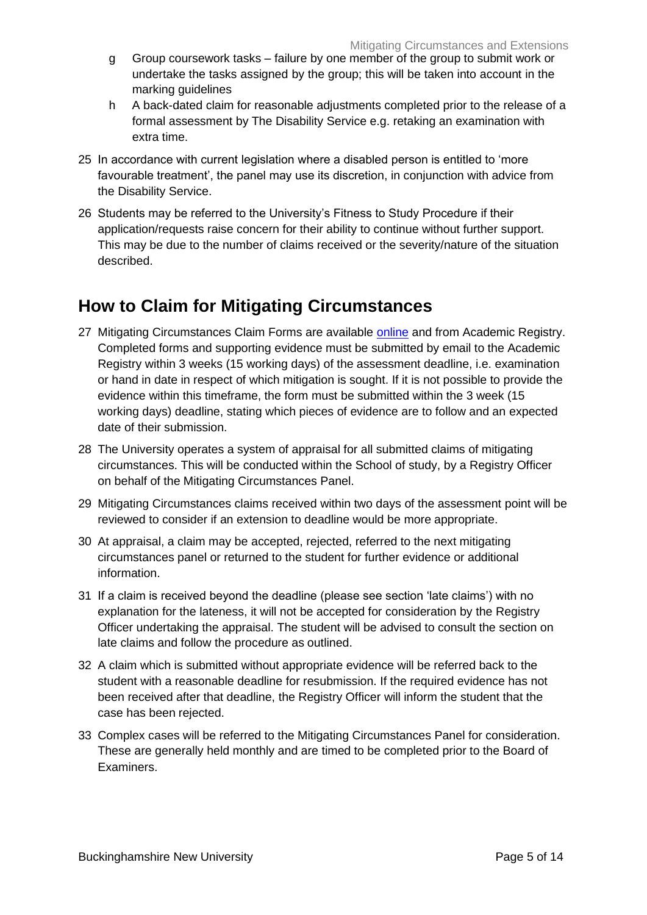- g Group coursework tasks failure by one member of the group to submit work or undertake the tasks assigned by the group; this will be taken into account in the marking guidelines
- h A back-dated claim for reasonable adjustments completed prior to the release of a formal assessment by The Disability Service e.g. retaking an examination with extra time.
- 25 In accordance with current legislation where a disabled person is entitled to 'more favourable treatment', the panel may use its discretion, in conjunction with advice from the Disability Service.
- 26 Students may be referred to the University's Fitness to Study Procedure if their application/requests raise concern for their ability to continue without further support. This may be due to the number of claims received or the severity/nature of the situation described.

### <span id="page-5-0"></span>**How to Claim for Mitigating Circumstances**

- 27 Mitigating Circumstances Claim Forms are available [online](https://bucks.ac.uk/students/academicadvice/assessment-and-examination/exceptional-circumstances/mitigating-circumstances) and from Academic Registry. Completed forms and supporting evidence must be submitted by email to the Academic Registry within 3 weeks (15 working days) of the assessment deadline, i.e. examination or hand in date in respect of which mitigation is sought. If it is not possible to provide the evidence within this timeframe, the form must be submitted within the 3 week (15 working days) deadline, stating which pieces of evidence are to follow and an expected date of their submission.
- 28 The University operates a system of appraisal for all submitted claims of mitigating circumstances. This will be conducted within the School of study, by a Registry Officer on behalf of the Mitigating Circumstances Panel.
- 29 Mitigating Circumstances claims received within two days of the assessment point will be reviewed to consider if an extension to deadline would be more appropriate.
- 30 At appraisal, a claim may be accepted, rejected, referred to the next mitigating circumstances panel or returned to the student for further evidence or additional information.
- 31 If a claim is received beyond the deadline (please see section 'late claims') with no explanation for the lateness, it will not be accepted for consideration by the Registry Officer undertaking the appraisal. The student will be advised to consult the section on late claims and follow the procedure as outlined.
- 32 A claim which is submitted without appropriate evidence will be referred back to the student with a reasonable deadline for resubmission. If the required evidence has not been received after that deadline, the Registry Officer will inform the student that the case has been rejected.
- 33 Complex cases will be referred to the Mitigating Circumstances Panel for consideration. These are generally held monthly and are timed to be completed prior to the Board of Examiners.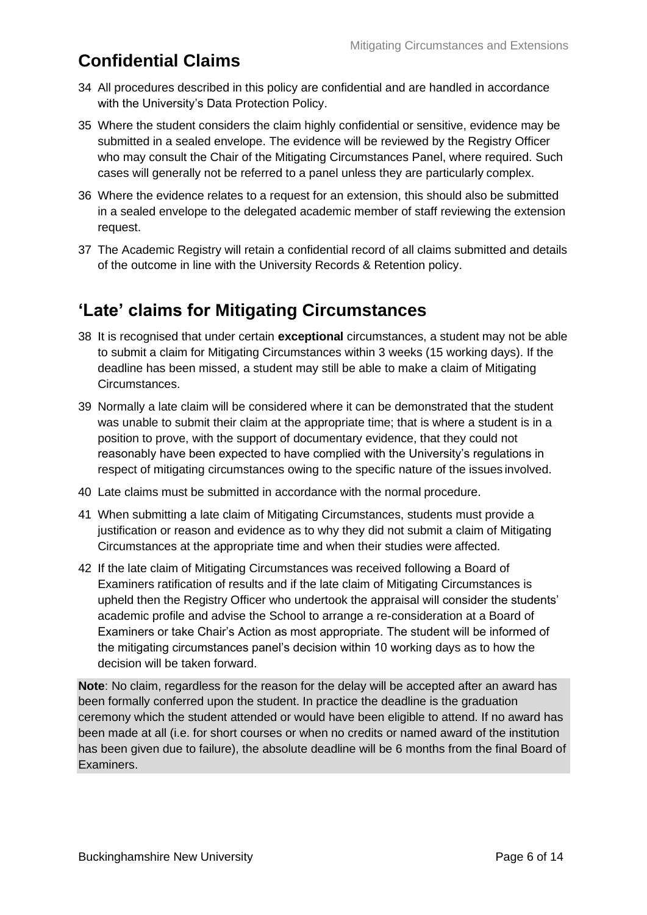## <span id="page-6-0"></span>**Confidential Claims**

- 34 All procedures described in this policy are confidential and are handled in accordance with the University's Data Protection Policy.
- 35 Where the student considers the claim highly confidential or sensitive, evidence may be submitted in a sealed envelope. The evidence will be reviewed by the Registry Officer who may consult the Chair of the Mitigating Circumstances Panel, where required. Such cases will generally not be referred to a panel unless they are particularly complex.
- 36 Where the evidence relates to a request for an extension, this should also be submitted in a sealed envelope to the delegated academic member of staff reviewing the extension request.
- 37 The Academic Registry will retain a confidential record of all claims submitted and details of the outcome in line with the University Records & Retention policy.

#### <span id="page-6-1"></span>**'Late' claims for Mitigating Circumstances**

- 38 It is recognised that under certain **exceptional** circumstances, a student may not be able to submit a claim for Mitigating Circumstances within 3 weeks (15 working days). If the deadline has been missed, a student may still be able to make a claim of Mitigating Circumstances.
- 39 Normally a late claim will be considered where it can be demonstrated that the student was unable to submit their claim at the appropriate time; that is where a student is in a position to prove, with the support of documentary evidence, that they could not reasonably have been expected to have complied with the University's regulations in respect of mitigating circumstances owing to the specific nature of the issues involved.
- 40 Late claims must be submitted in accordance with the normal procedure.
- 41 When submitting a late claim of Mitigating Circumstances, students must provide a justification or reason and evidence as to why they did not submit a claim of Mitigating Circumstances at the appropriate time and when their studies were affected.
- 42 If the late claim of Mitigating Circumstances was received following a Board of Examiners ratification of results and if the late claim of Mitigating Circumstances is upheld then the Registry Officer who undertook the appraisal will consider the students' academic profile and advise the School to arrange a re-consideration at a Board of Examiners or take Chair's Action as most appropriate. The student will be informed of the mitigating circumstances panel's decision within 10 working days as to how the decision will be taken forward.

**Note**: No claim, regardless for the reason for the delay will be accepted after an award has been formally conferred upon the student. In practice the deadline is the graduation ceremony which the student attended or would have been eligible to attend. If no award has been made at all (i.e. for short courses or when no credits or named award of the institution has been given due to failure), the absolute deadline will be 6 months from the final Board of Examiners.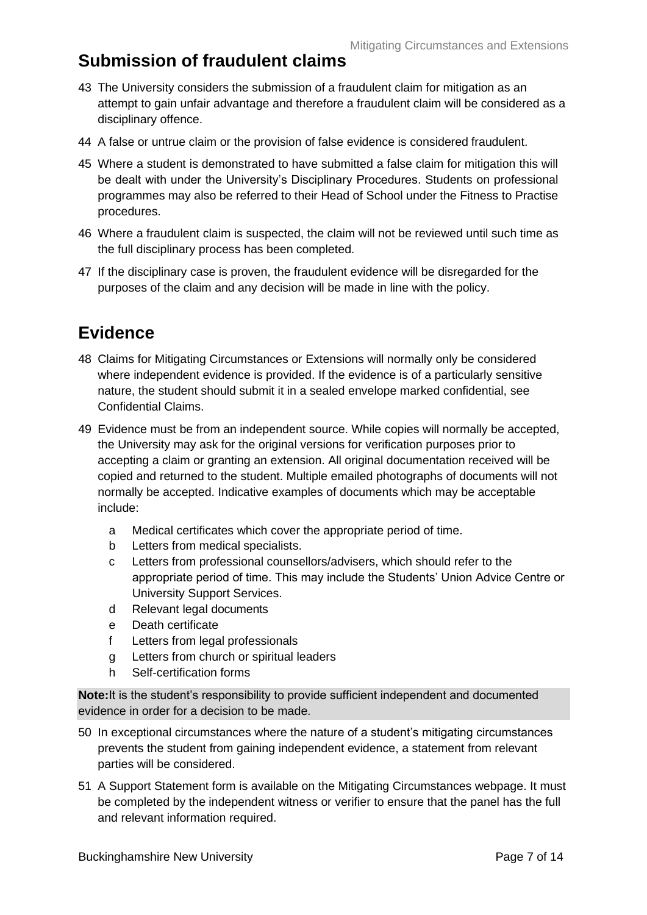#### <span id="page-7-0"></span>**Submission of fraudulent claims**

- 43 The University considers the submission of a fraudulent claim for mitigation as an attempt to gain unfair advantage and therefore a fraudulent claim will be considered as a disciplinary offence.
- 44 A false or untrue claim or the provision of false evidence is considered fraudulent.
- 45 Where a student is demonstrated to have submitted a false claim for mitigation this will be dealt with under the University's Disciplinary Procedures. Students on professional programmes may also be referred to their Head of School under the Fitness to Practise procedures.
- 46 Where a fraudulent claim is suspected, the claim will not be reviewed until such time as the full disciplinary process has been completed.
- 47 If the disciplinary case is proven, the fraudulent evidence will be disregarded for the purposes of the claim and any decision will be made in line with the policy.

### <span id="page-7-1"></span>**Evidence**

- 48 Claims for Mitigating Circumstances or Extensions will normally only be considered where independent evidence is provided. If the evidence is of a particularly sensitive nature, the student should submit it in a sealed envelope marked confidential, see Confidential Claims.
- 49 Evidence must be from an independent source. While copies will normally be accepted, the University may ask for the original versions for verification purposes prior to accepting a claim or granting an extension. All original documentation received will be copied and returned to the student. Multiple emailed photographs of documents will not normally be accepted. Indicative examples of documents which may be acceptable include:
	- a Medical certificates which cover the appropriate period of time.
	- b Letters from medical specialists.
	- c Letters from professional counsellors/advisers, which should refer to the appropriate period of time. This may include the Students' Union Advice Centre or University Support Services.
	- d Relevant legal documents
	- e Death certificate
	- f Letters from legal professionals
	- g Letters from church or spiritual leaders
	- h Self-certification forms

**Note:**It is the student's responsibility to provide sufficient independent and documented evidence in order for a decision to be made.

- 50 In exceptional circumstances where the nature of a student's mitigating circumstances prevents the student from gaining independent evidence, a statement from relevant parties will be considered.
- 51 A Support Statement form is available on the Mitigating Circumstances webpage. It must be completed by the independent witness or verifier to ensure that the panel has the full and relevant information required.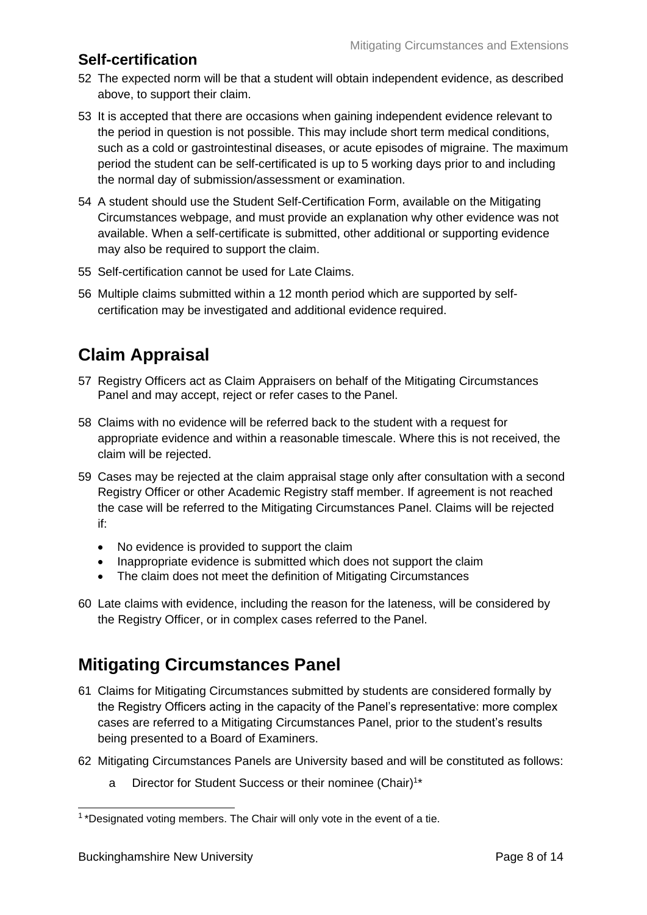#### **Self-certification**

- 52 The expected norm will be that a student will obtain independent evidence, as described above, to support their claim.
- 53 It is accepted that there are occasions when gaining independent evidence relevant to the period in question is not possible. This may include short term medical conditions, such as a cold or gastrointestinal diseases, or acute episodes of migraine. The maximum period the student can be self-certificated is up to 5 working days prior to and including the normal day of submission/assessment or examination.
- 54 A student should use the Student Self-Certification Form, available on the Mitigating Circumstances webpage, and must provide an explanation why other evidence was not available. When a self-certificate is submitted, other additional or supporting evidence may also be required to support the claim.
- 55 Self-certification cannot be used for Late Claims.
- 56 Multiple claims submitted within a 12 month period which are supported by selfcertification may be investigated and additional evidence required.

## <span id="page-8-0"></span>**Claim Appraisal**

- 57 Registry Officers act as Claim Appraisers on behalf of the Mitigating Circumstances Panel and may accept, reject or refer cases to the Panel.
- 58 Claims with no evidence will be referred back to the student with a request for appropriate evidence and within a reasonable timescale. Where this is not received, the claim will be rejected.
- 59 Cases may be rejected at the claim appraisal stage only after consultation with a second Registry Officer or other Academic Registry staff member. If agreement is not reached the case will be referred to the Mitigating Circumstances Panel. Claims will be rejected if:
	- No evidence is provided to support the claim
	- Inappropriate evidence is submitted which does not support the claim
	- The claim does not meet the definition of Mitigating Circumstances
- 60 Late claims with evidence, including the reason for the lateness, will be considered by the Registry Officer, or in complex cases referred to the Panel.

### <span id="page-8-1"></span>**Mitigating Circumstances Panel**

- 61 Claims for Mitigating Circumstances submitted by students are considered formally by the Registry Officers acting in the capacity of the Panel's representative: more complex cases are referred to a Mitigating Circumstances Panel, prior to the student's results being presented to a Board of Examiners.
- 62 Mitigating Circumstances Panels are University based and will be constituted as follows:
	- a Director for Student Success or their nominee (Chair)<sup>1\*</sup>

<sup>&</sup>lt;sup>1</sup>\*Designated voting members. The Chair will only vote in the event of a tie.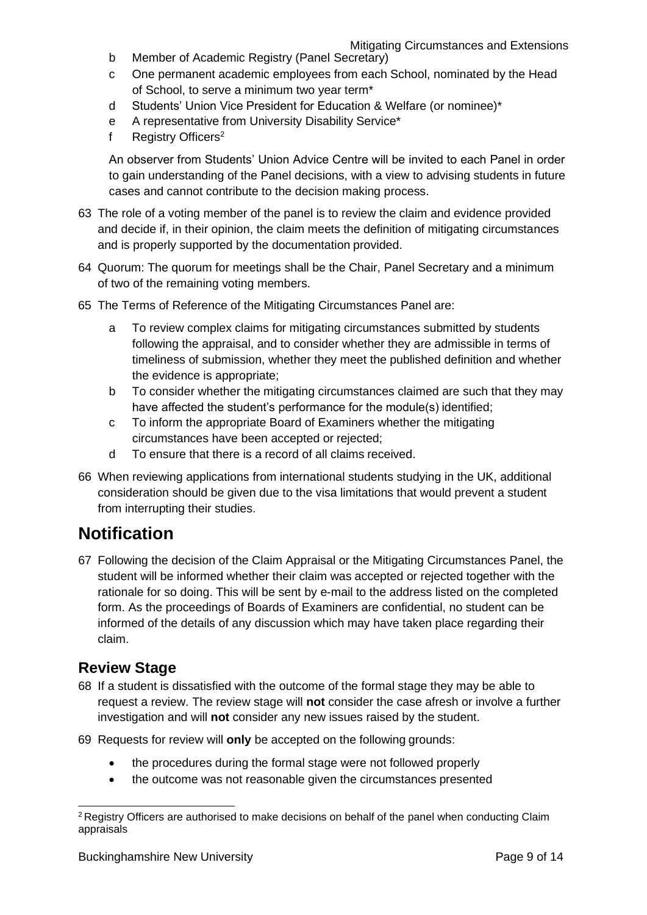Mitigating Circumstances and Extensions

- b Member of Academic Registry (Panel Secretary)
- c One permanent academic employees from each School, nominated by the Head of School, to serve a minimum two year term\*
- d Students' Union Vice President for Education & Welfare (or nominee)\*
- e A representative from University Disability Service\*
- f Registry Officers<sup>2</sup>

An observer from Students' Union Advice Centre will be invited to each Panel in order to gain understanding of the Panel decisions, with a view to advising students in future cases and cannot contribute to the decision making process.

- 63 The role of a voting member of the panel is to review the claim and evidence provided and decide if, in their opinion, the claim meets the definition of mitigating circumstances and is properly supported by the documentation provided.
- 64 Quorum: The quorum for meetings shall be the Chair, Panel Secretary and a minimum of two of the remaining voting members.
- 65 The Terms of Reference of the Mitigating Circumstances Panel are:
	- a To review complex claims for mitigating circumstances submitted by students following the appraisal, and to consider whether they are admissible in terms of timeliness of submission, whether they meet the published definition and whether the evidence is appropriate;
	- b To consider whether the mitigating circumstances claimed are such that they may have affected the student's performance for the module(s) identified;
	- c To inform the appropriate Board of Examiners whether the mitigating circumstances have been accepted or rejected;
	- d To ensure that there is a record of all claims received.
- 66 When reviewing applications from international students studying in the UK, additional consideration should be given due to the visa limitations that would prevent a student from interrupting their studies.

#### <span id="page-9-0"></span>**Notification**

67 Following the decision of the Claim Appraisal or the Mitigating Circumstances Panel, the student will be informed whether their claim was accepted or rejected together with the rationale for so doing. This will be sent by e-mail to the address listed on the completed form. As the proceedings of Boards of Examiners are confidential, no student can be informed of the details of any discussion which may have taken place regarding their claim.

#### **Review Stage**

- 68 If a student is dissatisfied with the outcome of the formal stage they may be able to request a review. The review stage will **not** consider the case afresh or involve a further investigation and will **not** consider any new issues raised by the student.
- 69 Requests for review will **only** be accepted on the following grounds:
	- the procedures during the formal stage were not followed properly
	- the outcome was not reasonable given the circumstances presented

<sup>&</sup>lt;sup>2</sup> Registry Officers are authorised to make decisions on behalf of the panel when conducting Claim appraisals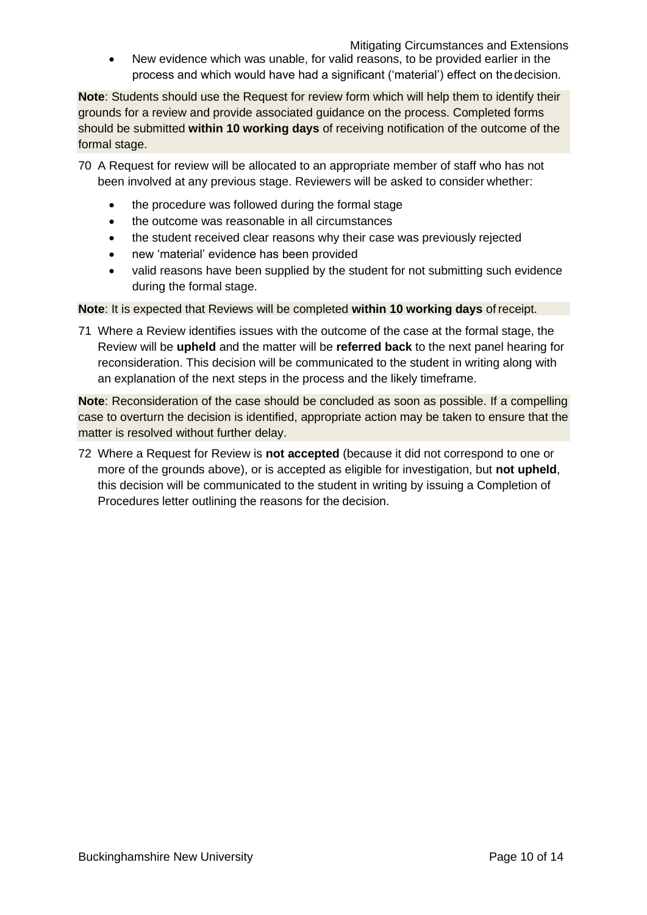Mitigating Circumstances and Extensions

• New evidence which was unable, for valid reasons, to be provided earlier in the process and which would have had a significant ('material') effect on thedecision.

**Note**: Students should use the Request for review form which will help them to identify their grounds for a review and provide associated guidance on the process. Completed forms should be submitted **within 10 working days** of receiving notification of the outcome of the formal stage.

- 70 A Request for review will be allocated to an appropriate member of staff who has not been involved at any previous stage. Reviewers will be asked to consider whether:
	- the procedure was followed during the formal stage
	- the outcome was reasonable in all circumstances
	- the student received clear reasons why their case was previously rejected
	- new 'material' evidence has been provided
	- valid reasons have been supplied by the student for not submitting such evidence during the formal stage.

**Note**: It is expected that Reviews will be completed **within 10 working days** of receipt.

71 Where a Review identifies issues with the outcome of the case at the formal stage, the Review will be **upheld** and the matter will be **referred back** to the next panel hearing for reconsideration. This decision will be communicated to the student in writing along with an explanation of the next steps in the process and the likely timeframe.

**Note**: Reconsideration of the case should be concluded as soon as possible. If a compelling case to overturn the decision is identified, appropriate action may be taken to ensure that the matter is resolved without further delay.

72 Where a Request for Review is **not accepted** (because it did not correspond to one or more of the grounds above), or is accepted as eligible for investigation, but **not upheld**, this decision will be communicated to the student in writing by issuing a Completion of Procedures letter outlining the reasons for the decision.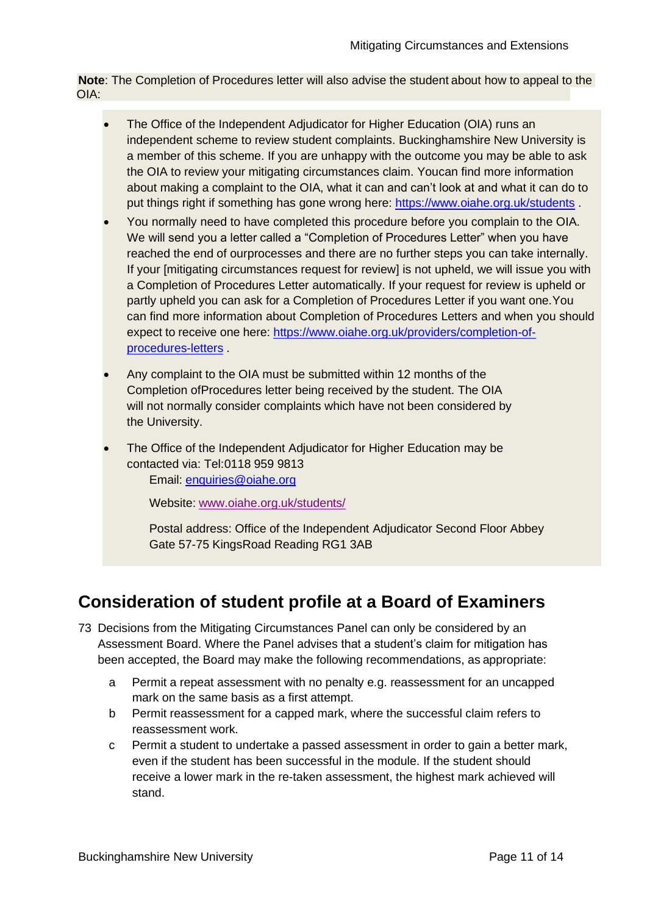**Note**: The Completion of Procedures letter will also advise the student about how to appeal to the OIA:

- The Office of the Independent Adjudicator for Higher Education (OIA) runs an independent scheme to review student complaints. Buckinghamshire New University is a member of this scheme. If you are unhappy with the outcome you may be able to ask the OIA to review your mitigating circumstances claim. Youcan find more information about making a complaint to the OIA, what it can and can't look at and what it can do to put things right if something has gone wrong here: <https://www.oiahe.org.uk/students> .
- You normally need to have completed this procedure before you complain to the OIA. We will send you a letter called a "Completion of Procedures Letter" when you have reached the end of ourprocesses and there are no further steps you can take internally. If your [mitigating circumstances request for review] is not upheld, we will issue you with a Completion of Procedures Letter automatically. If your request for review is upheld or partly upheld you can ask for a Completion of Procedures Letter if you want one.You can find more information about Completion of Procedures Letters and when you should expect to receive one here: [https://www.oiahe.org.uk/providers/completion-of](https://www.oiahe.org.uk/providers/completion-of-procedures-letters)[procedures-letters](https://www.oiahe.org.uk/providers/completion-of-procedures-letters) .
- Any complaint to the OIA must be submitted within 12 months of the Completion ofProcedures letter being received by the student. The OIA will not normally consider complaints which have not been considered by the University.
- The Office of the Independent Adjudicator for Higher Education may be contacted via: Tel:0118 959 9813 Email: [enquiries@oiahe.org](mailto:enquiries@oiahe.org)

Website: [www.oiahe.org.uk/students/](http://www.oiahe.org.uk/students/)

Postal address: Office of the Independent Adjudicator Second Floor Abbey Gate 57-75 KingsRoad Reading RG1 3AB

#### <span id="page-11-0"></span>**Consideration of student profile at a Board of Examiners**

- 73 Decisions from the Mitigating Circumstances Panel can only be considered by an Assessment Board. Where the Panel advises that a student's claim for mitigation has been accepted, the Board may make the following recommendations, as appropriate:
	- a Permit a repeat assessment with no penalty e.g. reassessment for an uncapped mark on the same basis as a first attempt.
	- b Permit reassessment for a capped mark, where the successful claim refers to reassessment work.
	- c Permit a student to undertake a passed assessment in order to gain a better mark, even if the student has been successful in the module. If the student should receive a lower mark in the re-taken assessment, the highest mark achieved will stand.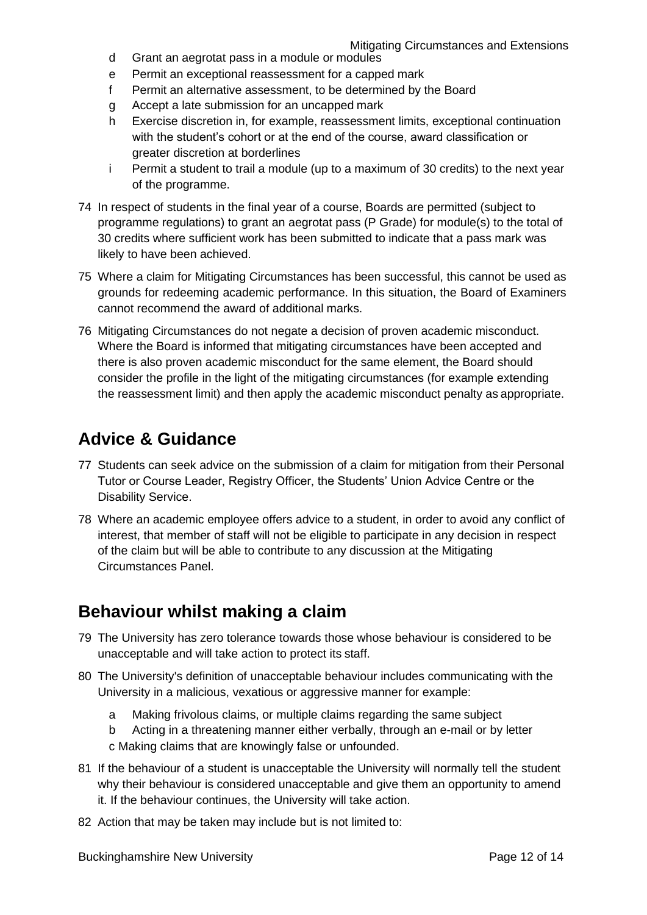- d Grant an aegrotat pass in a module or modules
- e Permit an exceptional reassessment for a capped mark
- f Permit an alternative assessment, to be determined by the Board
- g Accept a late submission for an uncapped mark
- h Exercise discretion in, for example, reassessment limits, exceptional continuation with the student's cohort or at the end of the course, award classification or greater discretion at borderlines
- i Permit a student to trail a module (up to a maximum of 30 credits) to the next year of the programme.
- 74 In respect of students in the final year of a course, Boards are permitted (subject to programme regulations) to grant an aegrotat pass (P Grade) for module(s) to the total of 30 credits where sufficient work has been submitted to indicate that a pass mark was likely to have been achieved.
- 75 Where a claim for Mitigating Circumstances has been successful, this cannot be used as grounds for redeeming academic performance. In this situation, the Board of Examiners cannot recommend the award of additional marks.
- 76 Mitigating Circumstances do not negate a decision of proven academic misconduct. Where the Board is informed that mitigating circumstances have been accepted and there is also proven academic misconduct for the same element, the Board should consider the profile in the light of the mitigating circumstances (for example extending the reassessment limit) and then apply the academic misconduct penalty as appropriate.

#### <span id="page-12-0"></span>**Advice & Guidance**

- 77 Students can seek advice on the submission of a claim for mitigation from their Personal Tutor or Course Leader, Registry Officer, the Students' Union Advice Centre or the Disability Service.
- 78 Where an academic employee offers advice to a student, in order to avoid any conflict of interest, that member of staff will not be eligible to participate in any decision in respect of the claim but will be able to contribute to any discussion at the Mitigating Circumstances Panel.

#### **Behaviour whilst making a claim**

- 79 The University has zero tolerance towards those whose behaviour is considered to be unacceptable and will take action to protect its staff.
- 80 The University's definition of unacceptable behaviour includes communicating with the University in a malicious, vexatious or aggressive manner for example:
	- a Making frivolous claims, or multiple claims regarding the same subject
	- b Acting in a threatening manner either verbally, through an e-mail or by letter c Making claims that are knowingly false or unfounded.
- 81 If the behaviour of a student is unacceptable the University will normally tell the student why their behaviour is considered unacceptable and give them an opportunity to amend it. If the behaviour continues, the University will take action.
- 82 Action that may be taken may include but is not limited to: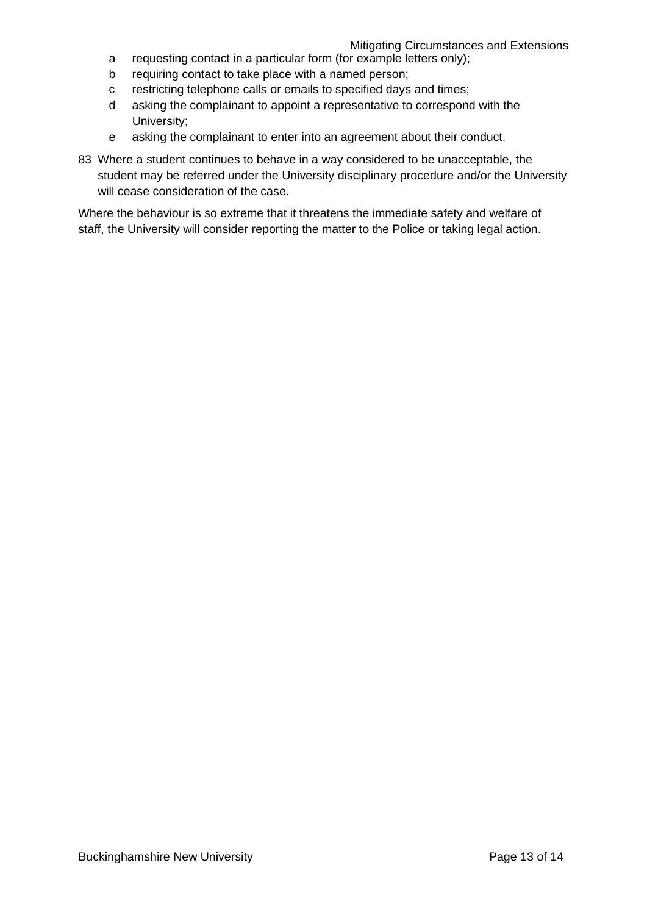- a requesting contact in a particular form (for example letters only);
- b requiring contact to take place with a named person;
- c restricting telephone calls or emails to specified days and times;
- d asking the complainant to appoint a representative to correspond with the University;
- e asking the complainant to enter into an agreement about their conduct.
- 83 Where a student continues to behave in a way considered to be unacceptable, the student may be referred under the University disciplinary procedure and/or the University will cease consideration of the case.

Where the behaviour is so extreme that it threatens the immediate safety and welfare of staff, the University will consider reporting the matter to the Police or taking legal action.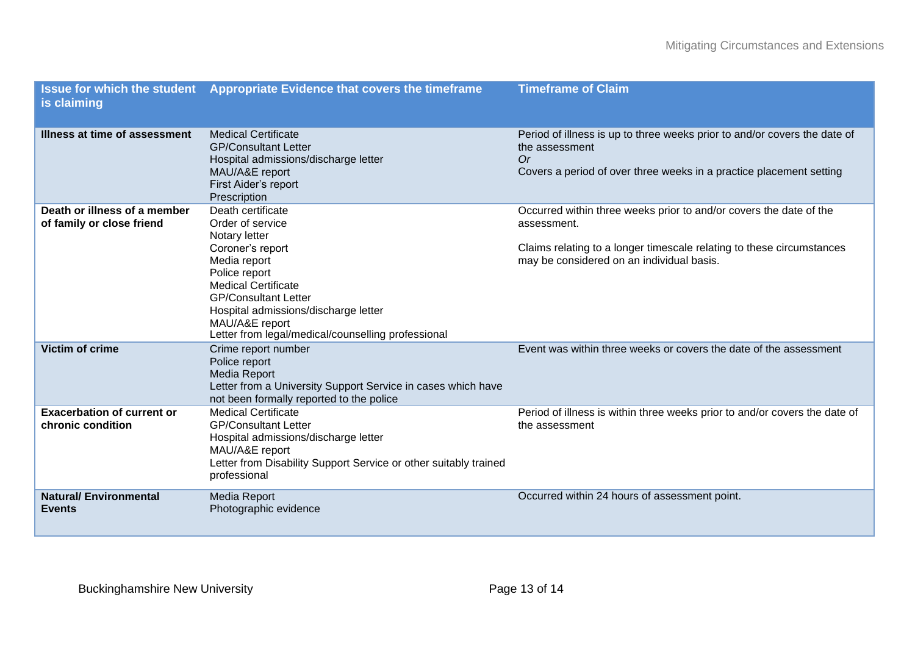| is claiming                                               | Issue for which the student Appropriate Evidence that covers the timeframe                                                                                                                                                                                                               | <b>Timeframe of Claim</b>                                                                                                                                                                               |
|-----------------------------------------------------------|------------------------------------------------------------------------------------------------------------------------------------------------------------------------------------------------------------------------------------------------------------------------------------------|---------------------------------------------------------------------------------------------------------------------------------------------------------------------------------------------------------|
| Illness at time of assessment                             | <b>Medical Certificate</b><br><b>GP/Consultant Letter</b><br>Hospital admissions/discharge letter<br>MAU/A&E report<br>First Aider's report<br>Prescription                                                                                                                              | Period of illness is up to three weeks prior to and/or covers the date of<br>the assessment<br>0r<br>Covers a period of over three weeks in a practice placement setting                                |
| Death or illness of a member<br>of family or close friend | Death certificate<br>Order of service<br>Notary letter<br>Coroner's report<br>Media report<br>Police report<br><b>Medical Certificate</b><br><b>GP/Consultant Letter</b><br>Hospital admissions/discharge letter<br>MAU/A&E report<br>Letter from legal/medical/counselling professional | Occurred within three weeks prior to and/or covers the date of the<br>assessment.<br>Claims relating to a longer timescale relating to these circumstances<br>may be considered on an individual basis. |
| <b>Victim of crime</b>                                    | Crime report number<br>Police report<br><b>Media Report</b><br>Letter from a University Support Service in cases which have<br>not been formally reported to the police                                                                                                                  | Event was within three weeks or covers the date of the assessment                                                                                                                                       |
| <b>Exacerbation of current or</b><br>chronic condition    | <b>Medical Certificate</b><br><b>GP/Consultant Letter</b><br>Hospital admissions/discharge letter<br>MAU/A&E report<br>Letter from Disability Support Service or other suitably trained<br>professional                                                                                  | Period of illness is within three weeks prior to and/or covers the date of<br>the assessment                                                                                                            |
| <b>Natural/Environmental</b><br><b>Events</b>             | <b>Media Report</b><br>Photographic evidence                                                                                                                                                                                                                                             | Occurred within 24 hours of assessment point.                                                                                                                                                           |